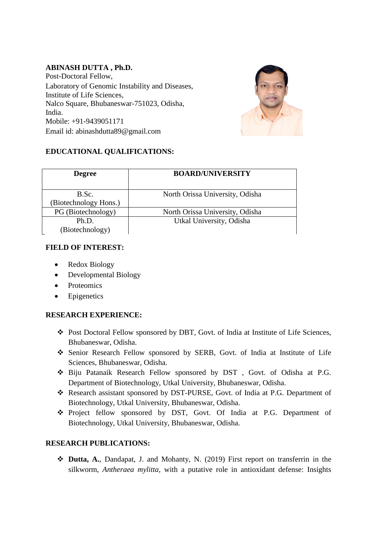## **ABINASH DUTTA , Ph.D.**

Post-Doctoral Fellow, Laboratory of Genomic Instability and Diseases, Institute of Life Sciences, Nalco Square, Bhubaneswar-751023, Odisha, India. Mobile: +91-9439051171 Email id: abinashdutta89@gmail.com



# **EDUCATIONAL QUALIFICATIONS:**

| <b>Degree</b>                 | <b>BOARD/UNIVERSITY</b>         |
|-------------------------------|---------------------------------|
| B.Sc.<br>Biotechnology Hons.) | North Orissa University, Odisha |
| PG (Biotechnology)            | North Orissa University, Odisha |
| Ph.D.                         | Utkal University, Odisha        |
| (Biotechnology)               |                                 |

## **FIELD OF INTEREST:**

- Redox Biology
- Developmental Biology
- Proteomics
- Epigenetics

## **RESEARCH EXPERIENCE:**

- Post Doctoral Fellow sponsored by DBT, Govt. of India at Institute of Life Sciences, Bhubaneswar, Odisha.
- Senior Research Fellow sponsored by SERB, Govt. of India at Institute of Life Sciences, Bhubaneswar, Odisha.
- Biju Patanaik Research Fellow sponsored by DST , Govt. of Odisha at P.G. Department of Biotechnology, Utkal University, Bhubaneswar, Odisha.
- Research assistant sponsored by DST-PURSE, Govt. of India at P.G. Department of Biotechnology, Utkal University, Bhubaneswar, Odisha.
- Project fellow sponsored by DST, Govt. Of India at P.G. Department of Biotechnology, Utkal University, Bhubaneswar, Odisha.

## **RESEARCH PUBLICATIONS:**

 **Dutta, A.**, Dandapat, J. and Mohanty, N. (2019) First report on transferrin in the silkworm, *Antheraea mylitta*, with a putative role in antioxidant defense: Insights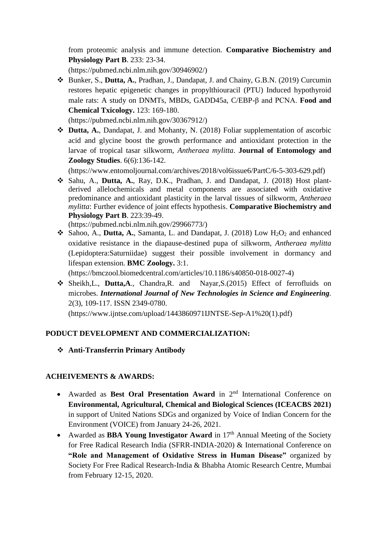from proteomic analysis and immune detection. **Comparative Biochemistry and Physiology Part B**. 233: 23-34.

(https://pubmed.ncbi.nlm.nih.gov/30946902/)

 Bunker, S., **Dutta, A.**, Pradhan, J., Dandapat, J. and Chainy, G.B.N. (2019) Curcumin restores hepatic epigenetic changes in propylthiouracil (PTU) Induced hypothyroid male rats: A study on DNMTs, MBDs, GADD45a, C/EBP-β and PCNA. **Food and Chemical Txicology.** 123: 169-180.

(https://pubmed.ncbi.nlm.nih.gov/30367912/)

 **Dutta, A.**, Dandapat, J. and Mohanty, N. (2018) Foliar supplementation of ascorbic acid and glycine boost the growth performance and antioxidant protection in the larvae of tropical tasar silkworm, *Antheraea mylitta*. **Journal of Entomology and Zoology Studies**. 6(6):136-142.

(https://www.entomoljournal.com/archives/2018/vol6issue6/PartC/6-5-303-629.pdf)

 Sahu, A., **Dutta, A.**, Ray, D.K., Pradhan, J. and Dandapat, J. (2018) Host plantderived allelochemicals and metal components are associated with oxidative predominance and antioxidant plasticity in the larval tissues of silkworm, *Antheraea mylitta*: Further evidence of joint effects hypothesis. **Comparative Biochemistry and Physiology Part B**. 223:39-49.

(https://pubmed.ncbi.nlm.nih.gov/29966773/)

 $\triangle$  Sahoo, A., **Dutta, A.**, Samanta, L. and Dandapat, J. (2018) Low H<sub>2</sub>O<sub>2</sub> and enhanced oxidative resistance in the diapause-destined pupa of silkworm, *Antheraea mylitta* (Lepidoptera:Saturniidae) suggest their possible involvement in dormancy and lifespan extension. **BMC Zoology.** 3:1.

(https://bmczool.biomedcentral.com/articles/10.1186/s40850-018-0027-4)

 Sheikh,L., **Dutta,A**., Chandra,R. and Nayar,S.(2015) Effect of ferrofluids on microbes. *International Journal of New Technologies in Science and Engineering.* 2(3), 109-117. ISSN 2349-0780.

(https://www.ijntse.com/upload/1443860971IJNTSE-Sep-A1%20(1).pdf)

# **PODUCT DEVELOPMENT AND COMMERCIALIZATION:**

**Anti-Transferrin Primary Antibody** 

# **ACHEIVEMENTS & AWARDS:**

- Awarded as Best Oral Presentation Award in 2<sup>nd</sup> International Conference on **Environmental, Agricultural, Chemical and Biological Sciences (ICEACBS 2021)** in support of United Nations SDGs and organized by Voice of Indian Concern for the Environment (VOICE) from January 24-26, 2021.
- Awarded as **BBA Young Investigator Award** in 17<sup>th</sup> Annual Meeting of the Society for Free Radical Research India (SFRR-INDIA-2020) & International Conference on **"Role and Management of Oxidative Stress in Human Disease"** organized by Society For Free Radical Research-India & Bhabha Atomic Research Centre, Mumbai from February 12-15, 2020.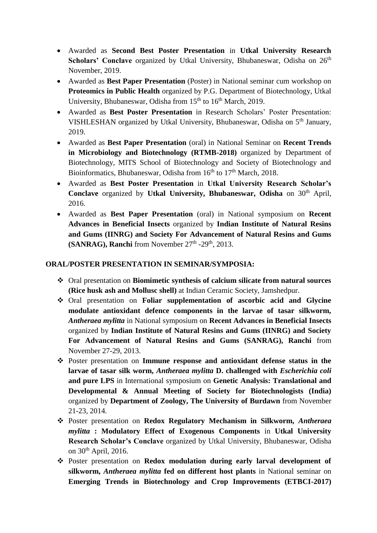- Awarded as **Second Best Poster Presentation** in **Utkal University Research Scholars' Conclave** organized by Utkal University, Bhubaneswar, Odisha on 26<sup>th</sup> November, 2019.
- Awarded as **Best Paper Presentation** (Poster) in National seminar cum workshop on **Proteomics in Public Health** organized by P.G. Department of Biotechnology, Utkal University, Bhubaneswar, Odisha from  $15<sup>th</sup>$  to  $16<sup>th</sup>$  March, 2019.
- Awarded as **Best Poster Presentation** in Research Scholars' Poster Presentation: VISHLESHAN organized by Utkal University, Bhubaneswar, Odisha on 5th January, 2019.
- Awarded as **Best Paper Presentation** (oral) in National Seminar on **Recent Trends in Microbiology and Biotechnology (RTMB-2018)** organized by Department of Biotechnology, MITS School of Biotechnology and Society of Biotechnology and Bioinformatics, Bhubaneswar, Odisha from  $16<sup>th</sup>$  to  $17<sup>th</sup>$  March, 2018.
- Awarded as **Best Poster Presentation** in **Utkal University Research Scholar's Conclave** organized by **Utkal University, Bhubaneswar, Odisha** on 30<sup>th</sup> April, 2016.
- Awarded as **Best Paper Presentation** (oral) in National symposium on **Recent Advances in Beneficial Insects** organized by **Indian Institute of Natural Resins and Gums (IINRG) and Society For Advancement of Natural Resins and Gums**   $(SANRAG)$ , Ranchi from November  $27<sup>th</sup>$  -29<sup>th</sup>, 2013.

## **ORAL/POSTER PRESENTATION IN SEMINAR/SYMPOSIA:**

- Oral presentation on **Biomimetic synthesis of calcium silicate from natural sources (Rice husk ash and Mollusc shell)** at Indian Ceramic Society, Jamshedpur.
- Oral presentation on **Foliar supplementation of ascorbic acid and Glycine modulate antioxidant defence components in the larvae of tasar silkworm,**  *Antheraea mylitta* in National symposium on **Recent Advances in Beneficial Insects**  organized by **Indian Institute of Natural Resins and Gums (IINRG) and Society For Advancement of Natural Resins and Gums (SANRAG), Ranchi** from November 27-29, 2013.
- Poster presentation on **Immune response and antioxidant defense status in the larvae of tasar silk worm,** *Antheraea mylitta* **D. challenged with** *Escherichia coli*  **and pure LPS** in International symposium on **Genetic Analysis: Translational and Developmental & Annual Meeting of Society for Biotechnologists (India)**  organized by **Department of Zoology, The University of Burdawn** from November 21-23, 2014.
- Poster presentation on **Redox Regulatory Mechanism in Silkworm,** *Antheraea mylitta* **: Modulatory Effect of Exogenous Components** in **Utkal University Research Scholar's Conclave** organized by Utkal University, Bhubaneswar, Odisha on  $30<sup>th</sup>$  April, 2016.
- Poster presentation on **Redox modulation during early larval development of silkworm,** *Antheraea mylitta* **fed on different host plants** in National seminar on **Emerging Trends in Biotechnology and Crop Improvements (ETBCI-2017)**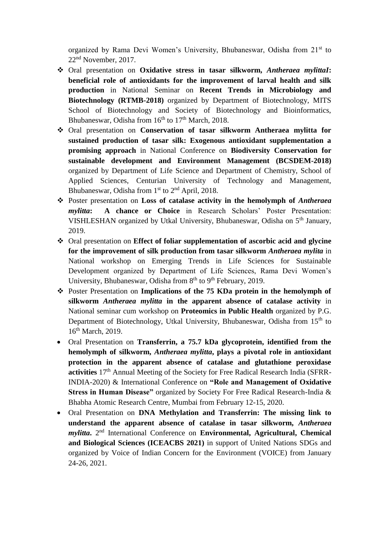organized by Rama Devi Women's University, Bhubaneswar, Odisha from 21<sup>st</sup> to 22nd November, 2017.

- Oral presentation on **Oxidative stress in tasar silkworm,** *Antheraea mylittaI***: beneficial role of antioxidants for the improvement of larval health and silk production** in National Seminar on **Recent Trends in Microbiology and Biotechnology (RTMB-2018)** organized by Department of Biotechnology, MITS School of Biotechnology and Society of Biotechnology and Bioinformatics, Bhubaneswar, Odisha from  $16<sup>th</sup>$  to  $17<sup>th</sup>$  March, 2018.
- Oral presentation on **Conservation of tasar silkworm Antheraea mylitta for sustained production of tasar silk: Exogenous antioxidant supplementation a promising approach** in National Conference on **Biodiversity Conservation for sustainable development and Environment Management (BCSDEM-2018)**  organized by Department of Life Science and Department of Chemistry, School of Applied Sciences, Centurian University of Technology and Management, Bhubaneswar, Odisha from 1<sup>st</sup> to 2<sup>nd</sup> April, 2018.
- Poster presentation on **Loss of catalase activity in the hemolymph of** *Antheraea mylitta***: A chance or Choice** in Research Scholars' Poster Presentation: VISHLESHAN organized by Utkal University, Bhubaneswar, Odisha on 5th January, 2019.
- Oral presentation on **Effect of foliar supplementation of ascorbic acid and glycine for the improvement of silk production from tasar silkworm** *Antheraea mylita* in National workshop on Emerging Trends in Life Sciences for Sustainable Development organized by Department of Life Sciences, Rama Devi Women's University, Bhubaneswar, Odisha from  $8<sup>th</sup>$  to  $9<sup>th</sup>$  February, 2019.
- Poster Presentation on **Implications of the 75 KDa protein in the hemolymph of silkworm** *Antheraea mylitta* **in the apparent absence of catalase activity** in National seminar cum workshop on **Proteomics in Public Health** organized by P.G. Department of Biotechnology, Utkal University, Bhubaneswar, Odisha from 15<sup>th</sup> to 16th March, 2019.
- Oral Presentation on **Transferrin, a 75.7 kDa glycoprotein, identified from the hemolymph of silkworm,** *Antheraea mylitta***, plays a pivotal role in antioxidant protection in the apparent absence of catalase and glutathione peroxidase activities** 17<sup>th</sup> Annual Meeting of the Society for Free Radical Research India (SFRR-INDIA-2020) & International Conference on **"Role and Management of Oxidative Stress in Human Disease"** organized by Society For Free Radical Research-India & Bhabha Atomic Research Centre, Mumbai from February 12-15, 2020.
- Oral Presentation on **DNA Methylation and Transferrin: The missing link to understand the apparent absence of catalase in tasar silkworm,** *Antheraea mylitta*. 2<sup>nd</sup> International Conference on **Environmental**, **Agricultural**, **Chemical and Biological Sciences (ICEACBS 2021)** in support of United Nations SDGs and organized by Voice of Indian Concern for the Environment (VOICE) from January 24-26, 2021.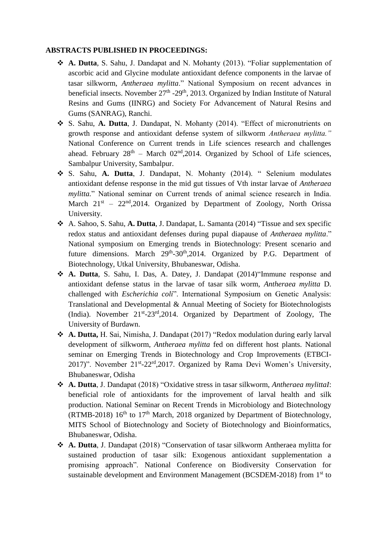## **ABSTRACTS PUBLISHED IN PROCEEDINGS:**

- **A. Dutta**, S. Sahu, J. Dandapat and N. Mohanty (2013). "Foliar supplementation of ascorbic acid and Glycine modulate antioxidant defence components in the larvae of tasar silkworm, *Antheraea mylitta*." National Symposium on recent advances in beneficial insects. November  $27<sup>th</sup> - 29<sup>th</sup>$ , 2013. Organized by Indian Institute of Natural Resins and Gums (IINRG) and Society For Advancement of Natural Resins and Gums (SANRAG), Ranchi.
- S. Sahu, **A. Dutta**, J. Dandapat, N. Mohanty (2014). "Effect of micronutrients on growth response and antioxidant defense system of silkworm *Antheraea mylitta."*  National Conference on Current trends in Life sciences research and challenges ahead. February  $28<sup>th</sup>$  – March 02<sup>nd</sup>, 2014. Organized by School of Life sciences, Sambalpur University, Sambalpur.
- S. Sahu, **A. Dutta**, J. Dandapat, N. Mohanty (2014). " Selenium modulates antioxidant defense response in the mid gut tissues of Vth instar larvae of *Antheraea mylitta.*" National seminar on Current trends of animal science research in India. March  $21^{st}$  –  $22^{nd}$ , 2014. Organized by Department of Zoology, North Orissa University.
- A. Sahoo, S. Sahu, **A. Dutta**, J. Dandapat, L. Samanta (2014) "Tissue and sex specific redox status and antioxidant defenses during pupal diapause of *Antheraea mylitta*." National symposium on Emerging trends in Biotechnology: Present scenario and future dimensions. March 29<sup>th</sup>-30<sup>th</sup>,2014. Organized by P.G. Department of Biotechnology, Utkal University, Bhubaneswar, Odisha.
- **A. Dutta**, S. Sahu, I. Das, A. Datey, J. Dandapat (2014)"Immune response and antioxidant defense status in the larvae of tasar silk worm, *Antheraea mylitta* D. challenged with *Escherichia coli*". International Symposium on Genetic Analysis: Translational and Developmental & Annual Meeting of Society for Biotechnologists (India). November 21<sup>st</sup>-23<sup>rd</sup>,2014. Organized by Department of Zoology, The University of Burdawn.
- **A. Dutta,** H. Sai, Nimisha, J. Dandapat (2017) "Redox modulation during early larval development of silkworm, *Antheraea mylitta* fed on different host plants. National seminar on Emerging Trends in Biotechnology and Crop Improvements (ETBCI-2017)". November 21<sup>st</sup>-22<sup>rd</sup>,2017. Organized by Rama Devi Women's University, Bhubaneswar, Odisha
- **A. Dutta**, J. Dandapat (2018) "Oxidative stress in tasar silkworm, *Antheraea mylittaI*: beneficial role of antioxidants for the improvement of larval health and silk production. National Seminar on Recent Trends in Microbiology and Biotechnology (RTMB-2018)  $16^{th}$  to  $17^{th}$  March, 2018 organized by Department of Biotechnology, MITS School of Biotechnology and Society of Biotechnology and Bioinformatics, Bhubaneswar, Odisha.
- **A. Dutta**, J. Dandapat (2018) "Conservation of tasar silkworm Antheraea mylitta for sustained production of tasar silk: Exogenous antioxidant supplementation a promising approach". National Conference on Biodiversity Conservation for sustainable development and Environment Management (BCSDEM-2018) from 1<sup>st</sup> to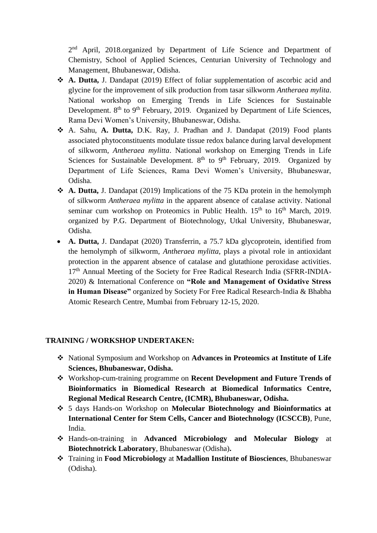2<sup>nd</sup> April, 2018.organized by Department of Life Science and Department of Chemistry, School of Applied Sciences, Centurian University of Technology and Management, Bhubaneswar, Odisha.

- **A. Dutta,** J. Dandapat (2019) Effect of foliar supplementation of ascorbic acid and glycine for the improvement of silk production from tasar silkworm *Antheraea mylita*. National workshop on Emerging Trends in Life Sciences for Sustainable Development. 8<sup>th</sup> to 9<sup>th</sup> February, 2019. Organized by Department of Life Sciences, Rama Devi Women's University, Bhubaneswar, Odisha.
- A. Sahu, **A. Dutta,** D.K. Ray, J. Pradhan and J. Dandapat (2019) Food plants associated phytoconstituents modulate tissue redox balance during larval development of silkworm, *Antheraea mylitta*. National workshop on Emerging Trends in Life Sciences for Sustainable Development.  $8<sup>th</sup>$  to  $9<sup>th</sup>$  February, 2019. Organized by Department of Life Sciences, Rama Devi Women's University, Bhubaneswar, Odisha.
- **A. Dutta,** J. Dandapat (2019) Implications of the 75 KDa protein in the hemolymph of silkworm *Antheraea mylitta* in the apparent absence of catalase activity. National seminar cum workshop on Proteomics in Public Health.  $15<sup>th</sup>$  to  $16<sup>th</sup>$  March, 2019. organized by P.G. Department of Biotechnology, Utkal University, Bhubaneswar, Odisha.
- **A. Dutta,** J. Dandapat (2020) Transferrin, a 75.7 kDa glycoprotein, identified from the hemolymph of silkworm, *Antheraea mylitta*, plays a pivotal role in antioxidant protection in the apparent absence of catalase and glutathione peroxidase activities.  $17<sup>th</sup>$  Annual Meeting of the Society for Free Radical Research India (SFRR-INDIA-2020) & International Conference on **"Role and Management of Oxidative Stress in Human Disease"** organized by Society For Free Radical Research-India & Bhabha Atomic Research Centre, Mumbai from February 12-15, 2020.

## **TRAINING / WORKSHOP UNDERTAKEN:**

- National Symposium and Workshop on **Advances in Proteomics at Institute of Life Sciences, Bhubaneswar, Odisha.**
- Workshop-cum-training programme on **Recent Development and Future Trends of Bioinformatics in Biomedical Research at Biomedical Informatics Centre, Regional Medical Research Centre, (ICMR), Bhubaneswar, Odisha.**
- 5 days Hands-on Workshop on **Molecular Biotechnology and Bioinformatics at International Center for Stem Cells, Cancer and Biotechnology (ICSCCB)**, Pune, India.
- Hands-on-training in **Advanced Microbiology and Molecular Biology** at **Biotechnotrick Laboratory**, Bhubaneswar (Odisha)**.**
- Training in **Food Microbiology** at **Madallion Institute of Biosciences**, Bhubaneswar (Odisha).